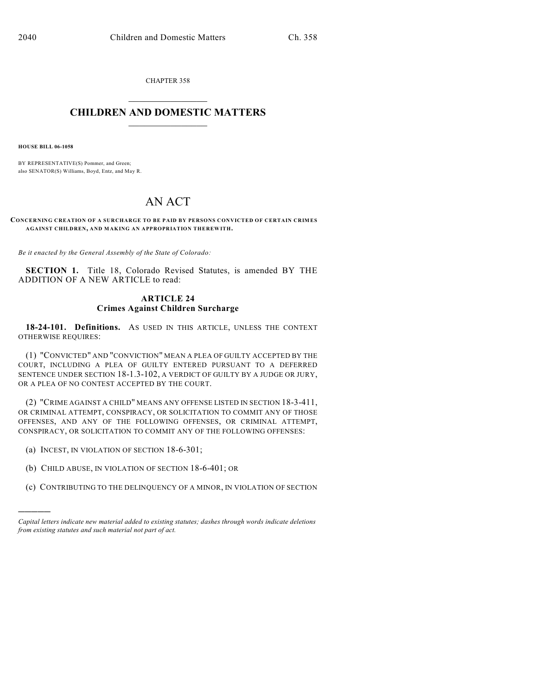CHAPTER 358

## $\overline{\phantom{a}}$  . The set of the set of the set of the set of the set of the set of the set of the set of the set of the set of the set of the set of the set of the set of the set of the set of the set of the set of the set o **CHILDREN AND DOMESTIC MATTERS**  $\_$

**HOUSE BILL 06-1058**

)))))

BY REPRESENTATIVE(S) Pommer, and Green; also SENATOR(S) Williams, Boyd, Entz, and May R.

## AN ACT

**CONCERNING CREATION OF A SURCHARGE TO BE PAID BY PERSONS CONVICTED OF CERTAIN CRIMES AGAINST CHILDREN, AND MAKING AN APPROPRIATION THEREWITH.**

*Be it enacted by the General Assembly of the State of Colorado:*

**SECTION 1.** Title 18, Colorado Revised Statutes, is amended BY THE ADDITION OF A NEW ARTICLE to read:

## **ARTICLE 24 Crimes Against Children Surcharge**

**18-24-101. Definitions.** AS USED IN THIS ARTICLE, UNLESS THE CONTEXT OTHERWISE REQUIRES:

(1) "CONVICTED" AND "CONVICTION" MEAN A PLEA OF GUILTY ACCEPTED BY THE COURT, INCLUDING A PLEA OF GUILTY ENTERED PURSUANT TO A DEFERRED SENTENCE UNDER SECTION 18-1.3-102, A VERDICT OF GUILTY BY A JUDGE OR JURY, OR A PLEA OF NO CONTEST ACCEPTED BY THE COURT.

(2) "CRIME AGAINST A CHILD" MEANS ANY OFFENSE LISTED IN SECTION 18-3-411, OR CRIMINAL ATTEMPT, CONSPIRACY, OR SOLICITATION TO COMMIT ANY OF THOSE OFFENSES, AND ANY OF THE FOLLOWING OFFENSES, OR CRIMINAL ATTEMPT, CONSPIRACY, OR SOLICITATION TO COMMIT ANY OF THE FOLLOWING OFFENSES:

- (a) INCEST, IN VIOLATION OF SECTION 18-6-301;
- (b) CHILD ABUSE, IN VIOLATION OF SECTION 18-6-401; OR
- (c) CONTRIBUTING TO THE DELINQUENCY OF A MINOR, IN VIOLATION OF SECTION

*Capital letters indicate new material added to existing statutes; dashes through words indicate deletions from existing statutes and such material not part of act.*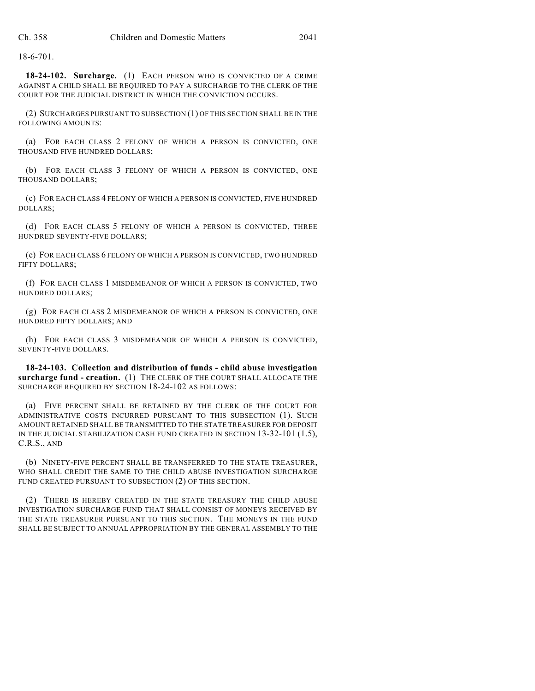18-6-701.

**18-24-102. Surcharge.** (1) EACH PERSON WHO IS CONVICTED OF A CRIME AGAINST A CHILD SHALL BE REQUIRED TO PAY A SURCHARGE TO THE CLERK OF THE COURT FOR THE JUDICIAL DISTRICT IN WHICH THE CONVICTION OCCURS.

(2) SURCHARGES PURSUANT TO SUBSECTION (1) OF THIS SECTION SHALL BE IN THE FOLLOWING AMOUNTS:

(a) FOR EACH CLASS 2 FELONY OF WHICH A PERSON IS CONVICTED, ONE THOUSAND FIVE HUNDRED DOLLARS;

(b) FOR EACH CLASS 3 FELONY OF WHICH A PERSON IS CONVICTED, ONE THOUSAND DOLLARS;

(c) FOR EACH CLASS 4 FELONY OF WHICH A PERSON IS CONVICTED, FIVE HUNDRED DOLLARS;

(d) FOR EACH CLASS 5 FELONY OF WHICH A PERSON IS CONVICTED, THREE HUNDRED SEVENTY-FIVE DOLLARS;

(e) FOR EACH CLASS 6 FELONY OF WHICH A PERSON IS CONVICTED, TWO HUNDRED FIFTY DOLLARS;

(f) FOR EACH CLASS 1 MISDEMEANOR OF WHICH A PERSON IS CONVICTED, TWO HUNDRED DOLLARS;

(g) FOR EACH CLASS 2 MISDEMEANOR OF WHICH A PERSON IS CONVICTED, ONE HUNDRED FIFTY DOLLARS; AND

(h) FOR EACH CLASS 3 MISDEMEANOR OF WHICH A PERSON IS CONVICTED, SEVENTY-FIVE DOLLARS.

**18-24-103. Collection and distribution of funds - child abuse investigation surcharge fund - creation.** (1) THE CLERK OF THE COURT SHALL ALLOCATE THE SURCHARGE REQUIRED BY SECTION 18-24-102 AS FOLLOWS:

(a) FIVE PERCENT SHALL BE RETAINED BY THE CLERK OF THE COURT FOR ADMINISTRATIVE COSTS INCURRED PURSUANT TO THIS SUBSECTION (1). SUCH AMOUNT RETAINED SHALL BE TRANSMITTED TO THE STATE TREASURER FOR DEPOSIT IN THE JUDICIAL STABILIZATION CASH FUND CREATED IN SECTION 13-32-101 (1.5), C.R.S., AND

(b) NINETY-FIVE PERCENT SHALL BE TRANSFERRED TO THE STATE TREASURER, WHO SHALL CREDIT THE SAME TO THE CHILD ABUSE INVESTIGATION SURCHARGE FUND CREATED PURSUANT TO SUBSECTION (2) OF THIS SECTION.

(2) THERE IS HEREBY CREATED IN THE STATE TREASURY THE CHILD ABUSE INVESTIGATION SURCHARGE FUND THAT SHALL CONSIST OF MONEYS RECEIVED BY THE STATE TREASURER PURSUANT TO THIS SECTION. THE MONEYS IN THE FUND SHALL BE SUBJECT TO ANNUAL APPROPRIATION BY THE GENERAL ASSEMBLY TO THE